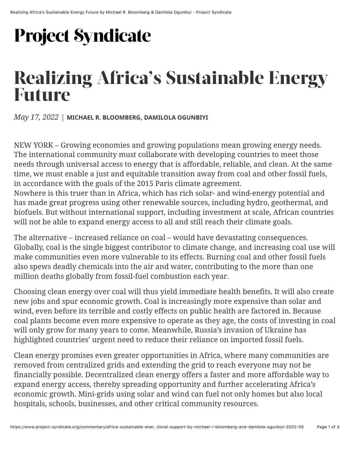## **Project Syndicate**

## **Realizing Africa's Sustainable Energy Future**

*May 17, 2022* | **MICHAEL R. BLOOMBERG**, **DAMILOLA OGUNBIYI**

NEW YORK – Growing economies and growing populations mean growing energy needs. The international community must collaborate with developing countries to meet those needs through universal access to energy that is affordable, reliable, and clean. At the same time, we must enable a just and equitable transition away from coal and other fossil fuels, in accordance with the goals of the 2015 Paris climate agreement.

Nowhere is this truer than in Africa, which has rich solar- and wind-energy potential and has made great progress using other renewable sources, including hydro, geothermal, and biofuels. But without international support, including investment at scale, African countries will not be able to expand energy access to all and still reach their climate goals.

The alternative – increased reliance on coal – would have devastating consequences. Globally, coal is the single biggest contributor to climate change, and increasing coal use will make communities even more vulnerable to its effects. Burning coal and other fossil fuels also spews deadly chemicals into the air and water, contributing to the more than one million deaths globally from fossil-fuel combustion each year.

Choosing clean energy over coal will thus yield immediate health benefits. It will also create new jobs and spur economic growth. Coal is increasingly more expensive than solar and wind, even before its terrible and costly effects on public health are factored in. Because coal plants become even more expensive to operate as they age, the costs of investing in coal will only grow for many years to come. Meanwhile, Russia's invasion of Ukraine has highlighted countries' urgent need to reduce their reliance on imported fossil fuels.

Clean energy promises even greater opportunities in Africa, where many communities are removed from centralized grids and extending the grid to reach everyone may not be financially possible. Decentralized clean energy offers a faster and more affordable way to expand energy access, thereby spreading opportunity and further accelerating Africa's economic growth. Mini-grids using solar and wind can fuel not only homes but also local hospitals, schools, businesses, and other critical community resources.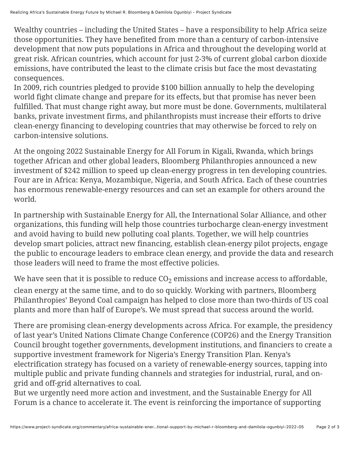Wealthy countries – including the United States – have a responsibility to help Africa seize those opportunities. They have benefited from more than a century of carbon-intensive development that now puts populations in Africa and throughout the developing world at great risk. African countries, which account for just 2-3% of current global carbon dioxide emissions, have contributed the least to the climate crisis but face the most devastating consequences.

In 2009, rich countries pledged to provide \$100 billion annually to help the developing world fight climate change and prepare for its effects, but that promise has never been fulfilled. That must change right away, but more must be done. Governments, multilateral banks, private investment firms, and philanthropists must increase their efforts to drive clean-energy financing to developing countries that may otherwise be forced to rely on carbon-intensive solutions.

At the ongoing 2022 Sustainable Energy for All Forum in Kigali, Rwanda, which brings together African and other global leaders, Bloomberg Philanthropies announced a new investment of \$242 million to speed up clean-energy progress in ten developing countries. Four are in Africa: Kenya, Mozambique, Nigeria, and South Africa. Each of these countries has enormous renewable-energy resources and can set an example for others around the world.

In partnership with Sustainable Energy for All, the International Solar Alliance, and other organizations, this funding will help those countries turbocharge clean-energy investment and avoid having to build new polluting coal plants. Together, we will help countries develop smart policies, attract new financing, establish clean-energy pilot projects, engage the public to encourage leaders to embrace clean energy, and provide the data and research those leaders will need to frame the most effective policies.

We have seen that it is possible to reduce  $CO<sub>2</sub>$  emissions and increase access to affordable, clean energy at the same time, and to do so quickly. Working with partners, Bloomberg Philanthropies' Beyond Coal campaign has helped to close more than two-thirds of US coal plants and more than half of Europe's. We must spread that success around the world.

There are promising clean-energy developments across Africa. For example, the presidency of last year's United Nations Climate Change Conference (COP26) and the Energy Transition Council brought together governments, development institutions, and financiers to create a supportive investment framework for Nigeria's Energy Transition Plan. Kenya's electrification strategy has focused on a variety of renewable-energy sources, tapping into multiple public and private funding channels and strategies for industrial, rural, and ongrid and off-grid alternatives to coal.

But we urgently need more action and investment, and the Sustainable Energy for All Forum is a chance to accelerate it. The event is reinforcing the importance of supporting